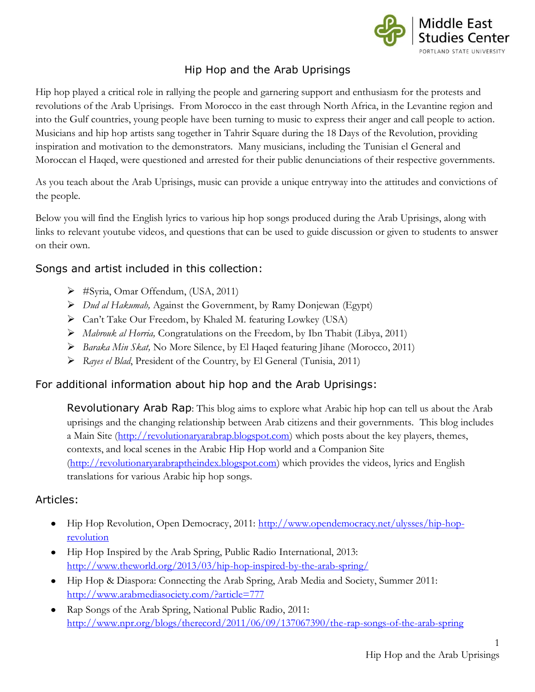

### Hip Hop and the Arab Uprisings

Hip hop played a critical role in rallying the people and garnering support and enthusiasm for the protests and revolutions of the Arab Uprisings. From Morocco in the east through North Africa, in the Levantine region and into the Gulf countries, young people have been turning to music to express their anger and call people to action. Musicians and hip hop artists sang together in Tahrir Square during the 18 Days of the Revolution, providing inspiration and motivation to the demonstrators. Many musicians, including the Tunisian el General and Moroccan el Haqed, were questioned and arrested for their public denunciations of their respective governments.

As you teach about the Arab Uprisings, music can provide a unique entryway into the attitudes and convictions of the people.

Below you will find the English lyrics to various hip hop songs produced during the Arab Uprisings, along with links to relevant youtube videos, and questions that can be used to guide discussion or given to students to answer on their own.

### Songs and artist included in this collection:

- #Syria, Omar Offendum, (USA, 2011)
- *Dud al Hakumah,* Against the Government, by Ramy Donjewan (Egypt)
- ▶ Can't Take Our Freedom, by Khaled M. featuring Lowkey (USA)
- *Mabrouk al Horria,* Congratulations on the Freedom, by Ibn Thabit (Libya, 2011)
- *Baraka Min Skat,* No More Silence, by El Haqed featuring Jihane (Morocco, 2011)
- *Rayes el Blad*, President of the Country, by El General (Tunisia, 2011)

#### For additional information about hip hop and the Arab Uprisings:

Revolutionary Arab Rap: This blog aims to explore what Arabic hip hop can tell us about the Arab uprisings and the changing relationship between Arab citizens and their governments. This blog includes a Main Site [\(http://revolutionaryarabrap.blogspot.com\)](http://revolutionaryarabrap.blogspot.com/) which posts about the key players, themes, contexts, and local scenes in the Arabic Hip Hop world and a Companion Site [\(http://revolutionaryarabraptheindex.blogspot.com\)](http://revolutionaryarabraptheindex.blogspot.com/) which provides the videos, lyrics and English translations for various Arabic hip hop songs.

#### Articles:

- Hip Hop Revolution, Open Democracy, 2011: [http://www.opendemocracy.net/ulysses/hip-hop](http://www.opendemocracy.net/ulysses/hip-hop-revolution)[revolution](http://www.opendemocracy.net/ulysses/hip-hop-revolution)
- Hip Hop Inspired by the Arab Spring, Public Radio International, 2013: <http://www.theworld.org/2013/03/hip-hop-inspired-by-the-arab-spring/>
- Hip Hop & Diaspora: Connecting the Arab Spring, Arab Media and Society, Summer 2011: <http://www.arabmediasociety.com/?article=777>
- Rap Songs of the Arab Spring, National Public Radio, 2011: <http://www.npr.org/blogs/therecord/2011/06/09/137067390/the-rap-songs-of-the-arab-spring>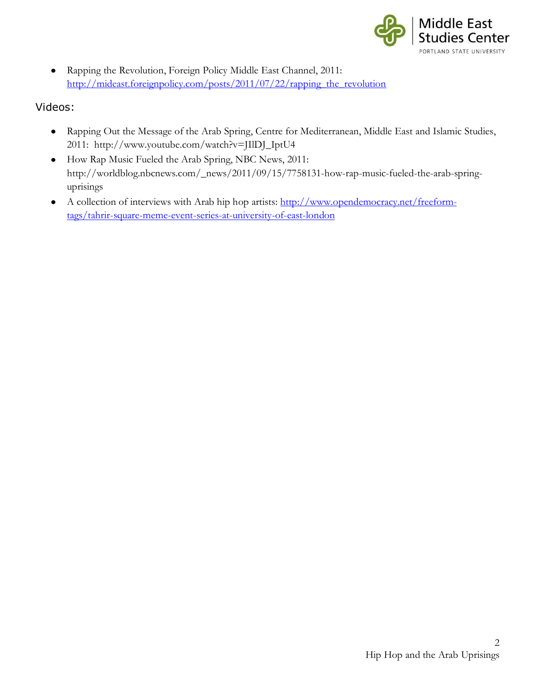

Rapping the Revolution, Foreign Policy Middle East Channel, 2011:  $\bullet$ http://mideast.foreignpolicy.com/posts/2011/07/22/rapping the revolution

#### Videos:

- Rapping Out the Message of the Arab Spring, Centre for Mediterranean, Middle East and Islamic Studies, 2011: http://www.youtube.com/watch?v=JIlDJ\_IptU4
- How Rap Music Fueled the Arab Spring, NBC News, 2011: http://worldblog.nbcnews.com/\_news/2011/09/15/7758131-how-rap-music-fueled-the-arab-springuprisings
- A collection of interviews with Arab hip hop artists: [http://www.opendemocracy.net/freeform](http://www.opendemocracy.net/freeform-tags/tahrir-square-meme-event-series-at-university-of-east-london)[tags/tahrir-square-meme-event-series-at-university-of-east-london](http://www.opendemocracy.net/freeform-tags/tahrir-square-meme-event-series-at-university-of-east-london)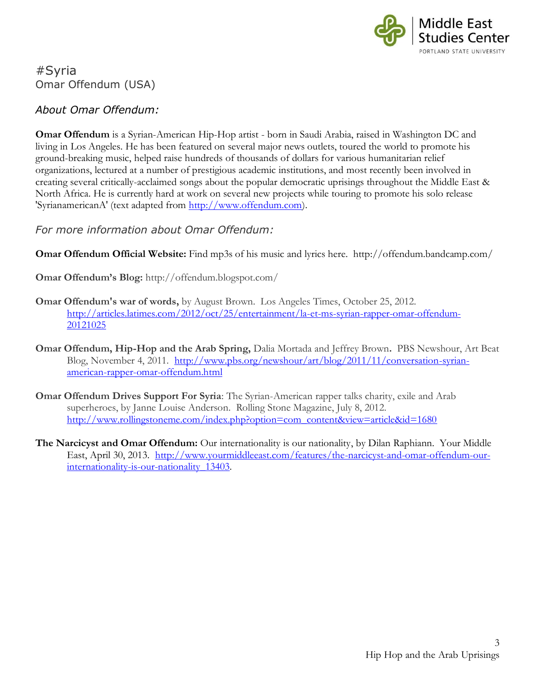

# #Syria Omar Offendum (USA)

### *About Omar Offendum:*

**Omar Offendum** is a Syrian-American Hip-Hop artist - born in Saudi Arabia, raised in Washington DC and living in Los Angeles. He has been featured on several major news outlets, toured the world to promote his ground-breaking music, helped raise hundreds of thousands of dollars for various humanitarian relief organizations, lectured at a number of prestigious academic institutions, and most recently been involved in creating several critically-acclaimed songs about the popular democratic uprisings throughout the Middle East & North Africa. He is currently hard at work on several new projects while touring to promote his solo release 'SyrianamericanA' (text adapted from [http://www.offendum.com\)](http://www.offendum.com/).

*For more information about Omar Offendum:*

**Omar Offendum Official Website:** Find mp3s of his music and lyrics here. <http://offendum.bandcamp.com/>

**Omar Offendum's Blog:** http://offendum.blogspot.com/

- **Omar Offendum's war of words,** by August Brown. Los Angeles Times, October 25, 2012. [http://articles.latimes.com/2012/oct/25/entertainment/la-et-ms-syrian-rapper-omar-offendum-](http://articles.latimes.com/2012/oct/25/entertainment/la-et-ms-syrian-rapper-omar-offendum-20121025)[20121025](http://articles.latimes.com/2012/oct/25/entertainment/la-et-ms-syrian-rapper-omar-offendum-20121025)
- **Omar Offendum, Hip-Hop and the Arab Spring,** Dalia Mortada and Jeffrey Brown**.** PBS Newshour, Art Beat Blog, November 4, 2011. [http://www.pbs.org/newshour/art/blog/2011/11/conversation-syrian](http://www.pbs.org/newshour/art/blog/2011/11/conversation-syrian-american-rapper-omar-offendum.html)[american-rapper-omar-offendum.html](http://www.pbs.org/newshour/art/blog/2011/11/conversation-syrian-american-rapper-omar-offendum.html)
- **Omar Offendum Drives Support For Syria**: The Syrian-American rapper talks charity, exile and Arab superheroes, by Janne Louise Anderson. Rolling Stone Magazine, July 8, 2012. [http://www.rollingstoneme.com/index.php?option=com\\_content&view=article&id=1680](http://www.rollingstoneme.com/index.php?option=com_content&view=article&id=1680)
- **The Narcicyst and Omar Offendum:** Our internationality is our nationality, by Dilan Raphiann. Your Middle East, April 30, 2013. [http://www.yourmiddleeast.com/features/the-narcicyst-and-omar-offendum-our](http://www.yourmiddleeast.com/features/the-narcicyst-and-omar-offendum-our-internationality-is-our-nationality_13403)[internationality-is-our-nationality\\_13403.](http://www.yourmiddleeast.com/features/the-narcicyst-and-omar-offendum-our-internationality-is-our-nationality_13403)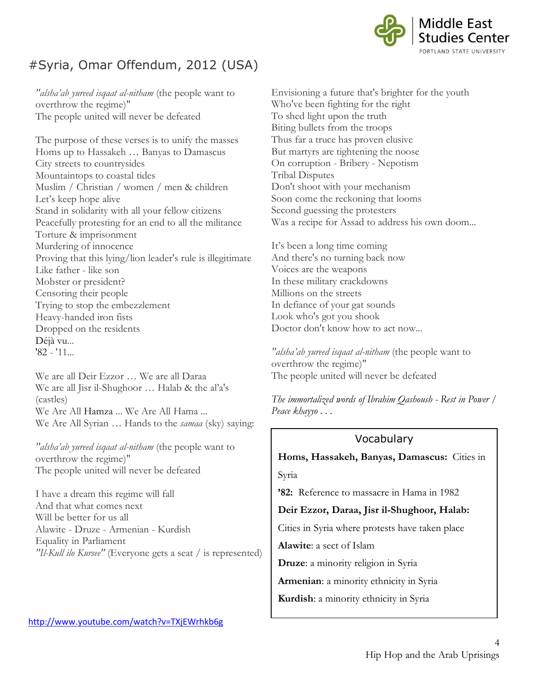

# #Syria, Omar Offendum, 2012 (USA)

*"alsha'ab yureed isqaat al-nitham* (the people want to overthrow the regime)" The people united will never be defeated

The purpose of these verses is to unify the masses Homs up to Hassakeh … Banyas to Damascus City streets to countrysides Mountaintops to coastal tides Muslim / Christian / women / men & children Let's keep hope alive Stand in solidarity with all your fellow citizens Peacefully protesting for an end to all the militance Torture & imprisonment Murdering of innocence Proving that this lying/lion leader's rule is illegitimate Like father - like son Mobster or president? Censoring their people Trying to stop the embezzlement Heavy-handed iron fists Dropped on the residents Déjà vu... ['82](http://en.wikipedia.org/wiki/Hama_massacre) - '11...

We are all Deir Ezzor … We are all Daraa We are all Jisr il-Shughoor ... Halab & the al'a's (castles) We Are All [Hamza](http://en.wikipedia.org/wiki/Death_of_Hamza_Ali_Al-Khateeb) ... We Are All Hama ... We Are All Syrian … Hands to the *samaa* (sky) saying:

*"alsha'ab yureed isqaat al-nitham* (the people want to overthrow the regime)" The people united will never be defeated

I have a dream this regime will fall And that what comes next Will be better for us all Alawite - Druze - Armenian - Kurdish Equality in Parliament *"Il-Kull ilo Kursee"* (Everyone gets a seat / is represented) Envisioning a future that's brighter for the youth Who've been fighting for the right To shed light upon the truth Biting bullets from the troops Thus far a truce has proven elusive But martyrs are tightening the noose On corruption - Bribery - Nepotism Tribal Disputes Don't shoot with your mechanism Soon come the reckoning that looms Second guessing the protesters Was a recipe for Assad to address his own doom...

It's been a long time coming And there's no turning back now Voices are the weapons In these military crackdowns Millions on the streets In defiance of your gat sounds Look who's got you shook Doctor don't know how to act now...

*"alsha'ab yureed isqaat al-nitham* (the people want to overthrow the regime)" The people united will never be defeated

*The immortalized words of [Ibrahim Qashoush](http://www.huffingtonpost.com/2011/07/27/ibrahim-qashoush-syria-protests_n_911284.html) - Rest in Power / [Peace khayyo . . .](http://www.huffingtonpost.com/2011/07/27/ibrahim-qashoush-syria-protests_n_911284.html)*

#### Vocabulary

**Homs, Hassakeh, Banyas, Damascus:** Cities in Syria

**'82:** Reference to massacre in Hama in 1982

#### **Deir Ezzor, Daraa, Jisr il-Shughoor, Halab:**

Cities in Syria where protests have taken place

**Alawite**: a sect of Islam

**Druze**: a minority religion in Syria

**Armenian**: a minority ethnicity in Syria

**Kurdish**: a minority ethnicity in Syria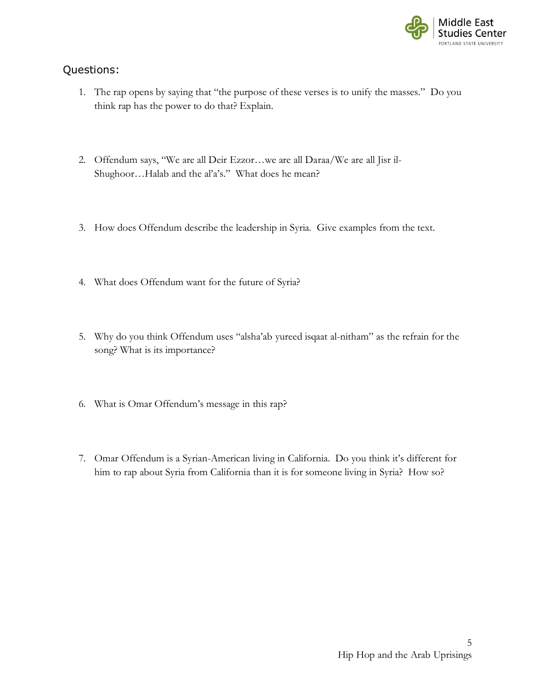

- 1. The rap opens by saying that "the purpose of these verses is to unify the masses." Do you think rap has the power to do that? Explain.
- 2. Offendum says, "We are all Deir Ezzor…we are all Daraa/We are all Jisr il-Shughoor…Halab and the al'a's." What does he mean?
- 3. How does Offendum describe the leadership in Syria. Give examples from the text.
- 4. What does Offendum want for the future of Syria?
- 5. Why do you think Offendum uses "alsha'ab yureed isqaat al-nitham" as the refrain for the song? What is its importance?
- 6. What is Omar Offendum's message in this rap?
- 7. Omar Offendum is a Syrian-American living in California. Do you think it's different for him to rap about Syria from California than it is for someone living in Syria? How so?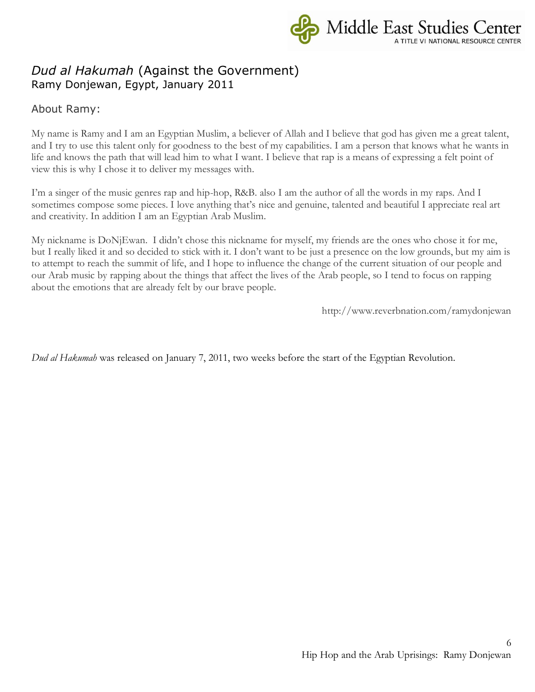

# *Dud al Hakumah* (Against the Government) Ramy Donjewan, Egypt, January 2011

About Ramy:

My name is Ramy and I am an Egyptian Muslim, a believer of Allah and I believe that god has given me a great talent, and I try to use this talent only for goodness to the best of my capabilities. I am a person that knows what he wants in life and knows the path that will lead him to what I want. I believe that rap is a means of expressing a felt point of view this is why I chose it to deliver my messages with.

I'm a singer of the music genres rap and hip-hop, R&B. also I am the author of all the words in my raps. And I sometimes compose some pieces. I love anything that's nice and genuine, talented and beautiful I appreciate real art and creativity. In addition I am an Egyptian Arab Muslim.

My nickname is DoNjEwan. I didn't chose this nickname for myself, my friends are the ones who chose it for me, but I really liked it and so decided to stick with it. I don't want to be just a presence on the low grounds, but my aim is to attempt to reach the summit of life, and I hope to influence the change of the current situation of our people and our Arab music by rapping about the things that affect the lives of the Arab people, so I tend to focus on rapping about the emotions that are already felt by our brave people.

http://www.reverbnation.com/ramydonjewan

*Dud al Hakumah* was released on January 7, 2011, two weeks before the start of the Egyptian Revolution.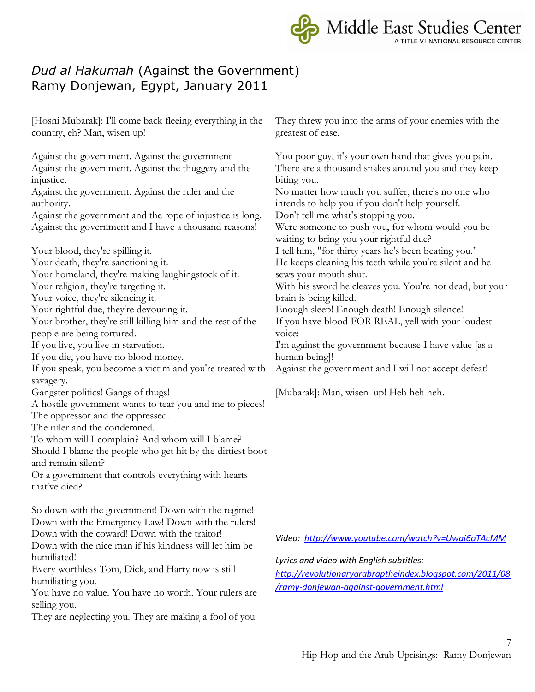Middle East Studies Center

# *Dud al Hakumah* (Against the Government) Ramy Donjewan, Egypt, January 2011

[Hosni Mubarak]: I'll come back fleeing everything in the country, eh? Man, wisen up!

Against the government. Against the government Against the government. Against the thuggery and the injustice.

Against the government. Against the ruler and the authority.

Against the government and the rope of injustice is long. Against the government and I have a thousand reasons!

Your blood, they're spilling it.

Your death, they're sanctioning it.

Your homeland, they're making laughingstock of it.

Your religion, they're targeting it.

Your voice, they're silencing it.

Your rightful due, they're devouring it.

Your brother, they're still killing him and the rest of the people are being tortured.

If you live, you live in starvation.

If you die, you have no blood money.

If you speak, you become a victim and you're treated with savagery.

- Gangster politics! Gangs of thugs!
- A hostile government wants to tear you and me to pieces!

The oppressor and the oppressed.

The ruler and the condemned.

To whom will I complain? And whom will I blame?

Should I blame the people who get hit by the dirtiest boot and remain silent?

Or a government that controls everything with hearts that've died?

So down with the government! Down with the regime! Down with the Emergency Law! Down with the rulers! Down with the coward! Down with the traitor!

Down with the nice man if his kindness will let him be humiliated!

Every worthless Tom, Dick, and Harry now is still humiliating you.

You have no value. You have no worth. Your rulers are selling you.

They are neglecting you. They are making a fool of you.

They threw you into the arms of your enemies with the greatest of ease.

You poor guy, it's your own hand that gives you pain. There are a thousand snakes around you and they keep biting you. No matter how much you suffer, there's no one who intends to help you if you don't help yourself. Don't tell me what's stopping you. Were someone to push you, for whom would you be waiting to bring you your rightful due? I tell him, "for thirty years he's been beating you." He keeps cleaning his teeth while you're silent and he sews your mouth shut. With his sword he cleaves you. You're not dead, but your brain is being killed. Enough sleep! Enough death! Enough silence! If you have blood FOR REAL, yell with your loudest voice: I'm against the government because I have value [as a human being]! Against the government and I will not accept defeat!

[Mubarak]: Man, wisen up! Heh heh heh.

*Video:<http://www.youtube.com/watch?v=Uwai6oTAcMM>*

*Lyrics and video with English subtitles:* 

*[http://revolutionaryarabraptheindex.blogspot.com/2011/08](http://revolutionaryarabraptheindex.blogspot.com/2011/08/ramy-donjewan-against-government.html) [/ramy-donjewan-against-government.html](http://revolutionaryarabraptheindex.blogspot.com/2011/08/ramy-donjewan-against-government.html)*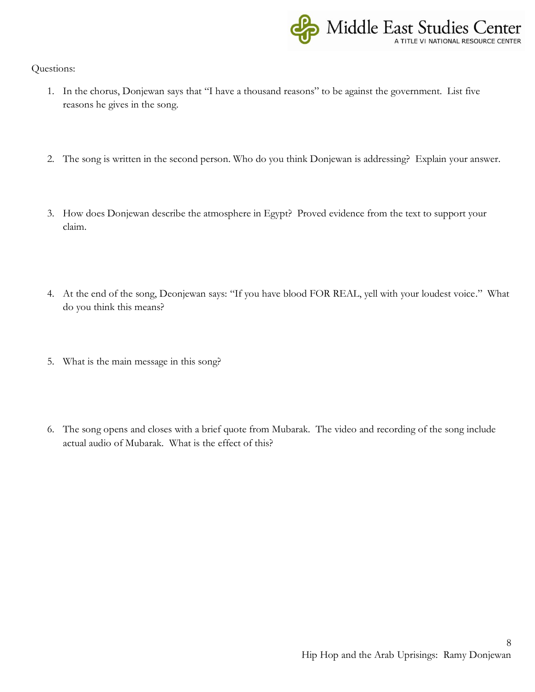

- 1. In the chorus, Donjewan says that "I have a thousand reasons" to be against the government. List five reasons he gives in the song.
- 2. The song is written in the second person. Who do you think Donjewan is addressing? Explain your answer.
- 3. How does Donjewan describe the atmosphere in Egypt? Proved evidence from the text to support your claim.
- 4. At the end of the song, Deonjewan says: "If you have blood FOR REAL, yell with your loudest voice." What do you think this means?
- 5. What is the main message in this song?
- 6. The song opens and closes with a brief quote from Mubarak. The video and recording of the song include actual audio of Mubarak. What is the effect of this?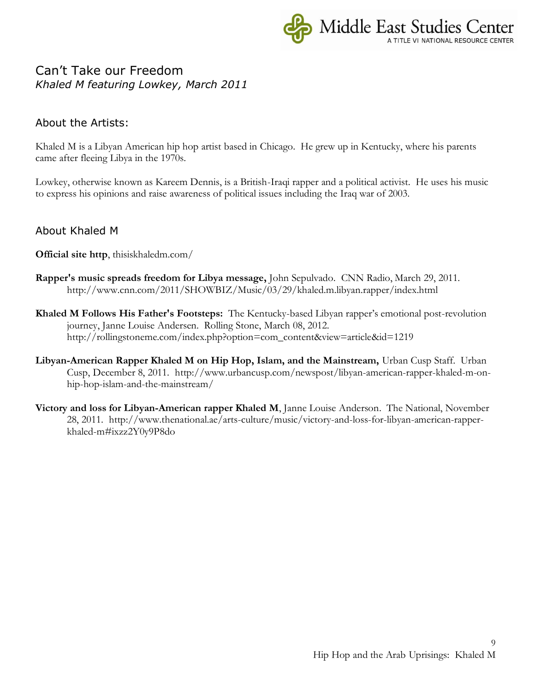

### Can't Take our Freedom *Khaled M featuring Lowkey, March 2011*

#### About the Artists:

Khaled M is a Libyan American hip hop artist based in Chicago. He grew up in Kentucky, where his parents came after fleeing Libya in the 1970s.

Lowkey, otherwise known as Kareem Dennis, is a British-Iraqi rapper and a political activist. He uses his music to express his opinions and raise awareness of political issues including the Iraq war of 2003.

#### About Khaled M

**Official site http**, thisiskhaledm.com/

- **Rapper's music spreads freedom for Libya message,** John Sepulvado. CNN Radio, March 29, 2011. http://www.cnn.com/2011/SHOWBIZ/Music/03/29/khaled.m.libyan.rapper/index.html
- **Khaled M Follows His Father's Footsteps:** The Kentucky-based Libyan rapper's emotional post-revolution journey, Janne Louise Andersen. Rolling Stone, March 08, 2012. http://rollingstoneme.com/index.php?option=com\_content&view=article&id=1219
- **Libyan-American Rapper Khaled M on Hip Hop, Islam, and the Mainstream,** Urban Cusp Staff. Urban Cusp, December 8, 2011. http://www.urbancusp.com/newspost/libyan-american-rapper-khaled-m-onhip-hop-islam-and-the-mainstream/
- **Victory and loss for Libyan-American rapper Khaled M**, Janne Louise Anderson. The National, November 28, 2011. http://www.thenational.ae/arts-culture/music/victory-and-loss-for-libyan-american-rapperkhaled-m#ixzz2Y0y9P8do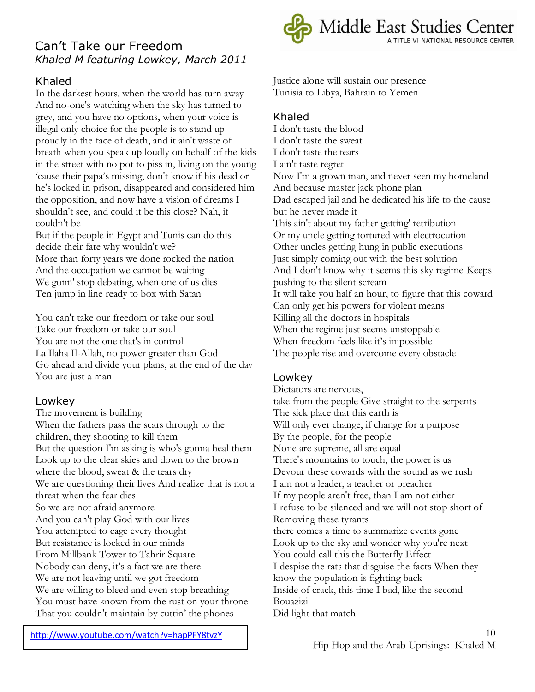# Can't Take our Freedom *Khaled M featuring Lowkey, March 2011*

### Khaled

In the darkest hours, when the world has turn away And no-one's watching when the sky has turned to grey, and you have no options, when your voice is illegal only choice for the people is to stand up proudly in the face of death, and it ain't waste of breath when you speak up loudly on behalf of the kids in the street with no pot to piss in, living on the young 'cause their papa's missing, don't know if his dead or he's locked in prison, disappeared and considered him the opposition, and now have a vision of dreams I shouldn't see, and could it be this close? Nah, it couldn't be

But if the people in Egypt and Tunis can do this decide their fate why wouldn't we? More than forty years we done rocked the nation And the occupation we cannot be waiting We gonn' stop debating, when one of us dies Ten jump in line ready to box with Satan

You can't take our freedom or take our soul Take our freedom or take our soul You are not the one that's in control La Ilaha Il-Allah, no power greater than God Go ahead and divide your plans, at the end of the day You are just a man

#### Lowkey

The movement is building When the fathers pass the scars through to the children, they shooting to kill them But the question I'm asking is who's gonna heal them Look up to the clear skies and down to the brown where the blood, sweat & the tears dry We are questioning their lives And realize that is not a threat when the fear dies So we are not afraid anymore And you can't play God with our lives You attempted to cage every thought But resistance is locked in our minds From Millbank Tower to Tahrir Square Nobody can deny, it's a fact we are there We are not leaving until we got freedom We are willing to bleed and even stop breathing You must have known from the rust on your throne That you couldn't maintain by cuttin' the phones



Justice alone will sustain our presence Tunisia to Libya, Bahrain to Yemen

#### Khaled

I don't taste the blood I don't taste the sweat I don't taste the tears I ain't taste regret Now I'm a grown man, and never seen my homeland And because master jack phone plan Dad escaped jail and he dedicated his life to the cause but he never made it This ain't about my father getting' retribution Or my uncle getting tortured with electrocution Other uncles getting hung in public executions Just simply coming out with the best solution And I don't know why it seems this sky regime Keeps pushing to the silent scream It will take you half an hour, to figure that this coward Can only get his powers for violent means Killing all the doctors in hospitals When the regime just seems unstoppable When freedom feels like it's impossible The people rise and overcome every obstacle

#### Lowkey

Dictators are nervous, take from the people Give straight to the serpents The sick place that this earth is Will only ever change, if change for a purpose By the people, for the people None are supreme, all are equal There's mountains to touch, the power is us Devour these cowards with the sound as we rush I am not a leader, a teacher or preacher If my people aren't free, than I am not either I refuse to be silenced and we will not stop short of Removing these tyrants there comes a time to summarize events gone Look up to the sky and wonder why you're next You could call this the Butterfly Effect I despise the rats that disguise the facts When they know the population is fighting back Inside of crack, this time I bad, like the second Bouazizi Did light that match

<http://www.youtube.com/watch?v=hapPFY8tvzY>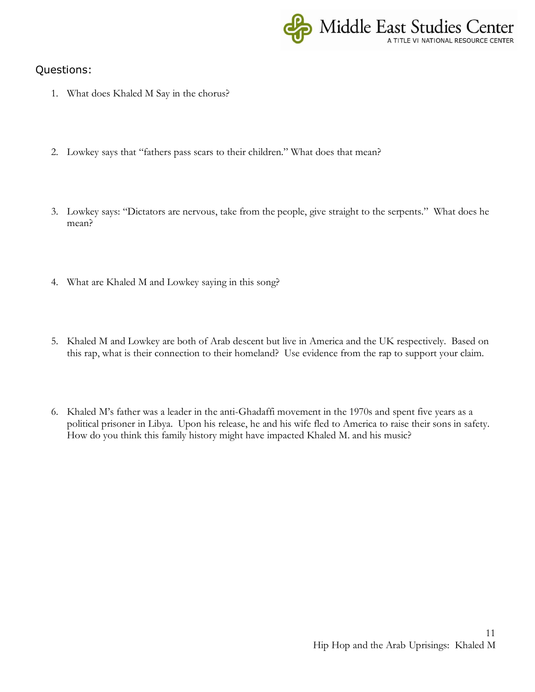

- 1. What does Khaled M Say in the chorus?
- 2. Lowkey says that "fathers pass scars to their children." What does that mean?
- 3. Lowkey says: "Dictators are nervous, take from the people, give straight to the serpents." What does he mean?
- 4. What are Khaled M and Lowkey saying in this song?
- 5. Khaled M and Lowkey are both of Arab descent but live in America and the UK respectively. Based on this rap, what is their connection to their homeland? Use evidence from the rap to support your claim.
- 6. Khaled M's father was a leader in the anti-Ghadaffi movement in the 1970s and spent five years as a political prisoner in Libya. Upon his release, he and his wife fled to America to raise their sons in safety. How do you think this family history might have impacted Khaled M. and his music?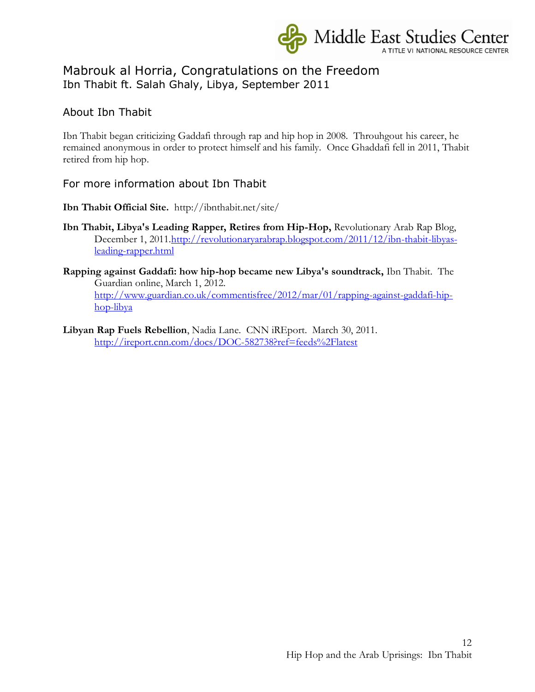

### Mabrouk al Horria, Congratulations on the Freedom Ibn Thabit ft. Salah Ghaly, Libya, September 2011

### About Ibn Thabit

Ibn Thabit began criticizing Gaddafi through rap and hip hop in 2008. Throuhgout his career, he remained anonymous in order to protect himself and his family. Once Ghaddafi fell in 2011, Thabit retired from hip hop.

For more information about Ibn Thabit

**Ibn Thabit Official Site.** http://ibnthabit.net/site/

- **Ibn Thabit, Libya's Leading Rapper, Retires from Hip-Hop,** Revolutionary Arab Rap Blog, December 1, 2011[.http://revolutionaryarabrap.blogspot.com/2011/12/ibn-thabit-libyas](http://revolutionaryarabrap.blogspot.com/2011/12/ibn-thabit-libyas-leading-rapper.html)[leading-rapper.html](http://revolutionaryarabrap.blogspot.com/2011/12/ibn-thabit-libyas-leading-rapper.html)
- **Rapping against Gaddafi: how hip-hop became new Libya's soundtrack,** Ibn Thabit. The Guardian online, March 1, 2012. [http://www.guardian.co.uk/commentisfree/2012/mar/01/rapping-against-gaddafi-hip](http://www.guardian.co.uk/commentisfree/2012/mar/01/rapping-against-gaddafi-hip-hop-libya)[hop-libya](http://www.guardian.co.uk/commentisfree/2012/mar/01/rapping-against-gaddafi-hip-hop-libya)
- **Libyan Rap Fuels Rebellion**, Nadia Lane. CNN iREport. March 30, 2011. <http://ireport.cnn.com/docs/DOC-582738?ref=feeds%2Flatest>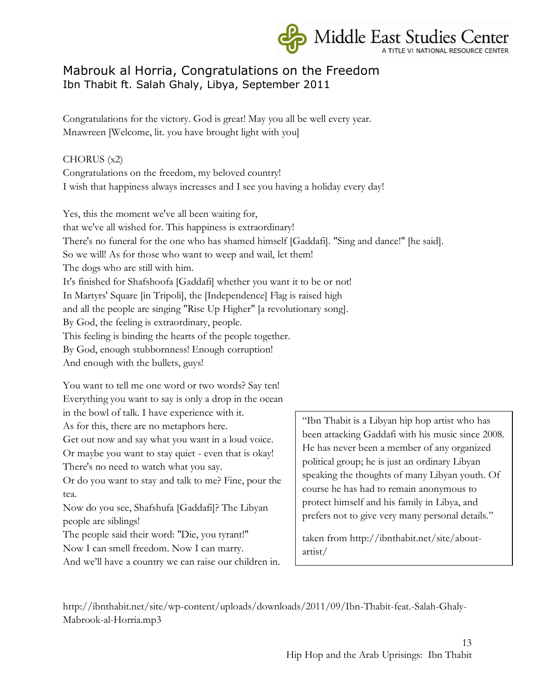

# Mabrouk al Horria, Congratulations on the Freedom Ibn Thabit ft. Salah Ghaly, Libya, September 2011

Congratulations for the victory. God is great! May you all be well every year. Mnawreen [Welcome, lit. you have brought light with you]

#### CHORUS (x2)

Congratulations on the freedom, my beloved country! I wish that happiness always increases and I see you having a holiday every day!

Yes, this the moment we've all been waiting for, that we've all wished for. This happiness is extraordinary! There's no funeral for the one who has shamed himself [Gaddafi]. "Sing and dance!" [he said]. So we will! As for those who want to weep and wail, let them! The dogs who are still with him. It's finished for Shafshoofa [Gaddafi] whether you want it to be or not! In Martyrs' Square [in Tripoli], the [Independence] Flag is raised high and all the people are singing "Rise Up Higher" [a revolutionary song]. By God, the feeling is extraordinary, people. This feeling is binding the hearts of the people together. By God, enough stubbornness! Enough corruption! And enough with the bullets, guys!

You want to tell me one word or two words? Say ten! Everything you want to say is only a drop in the ocean in the bowl of talk. I have experience with it.

As for this, there are no metaphors here.

Get out now and say what you want in a loud voice.

Or maybe you want to stay quiet - even that is okay! There's no need to watch what you say.

Or do you want to stay and talk to me? Fine, pour the tea.

Now do you see, Shafshufa [Gaddafi]? The Libyan people are siblings!

The people said their word: "Die, you tyrant!" Now I can smell freedom. Now I can marry.

And we'll have a country we can raise our children in.

"Ibn Thabit is a Libyan hip hop artist who has been attacking Gaddafi with his music since 2008. He has never been a member of any organized political group; he is just an ordinary Libyan speaking the thoughts of many Libyan youth. Of course he has had to remain anonymous to protect himself and his family in Libya, and prefers not to give very many personal details."

taken from http://ibnthabit.net/site/aboutartist/

http://ibnthabit.net/site/wp-content/uploads/downloads/2011/09/Ibn-Thabit-feat.-Salah-Ghaly-Mabrook-al-Horria.mp3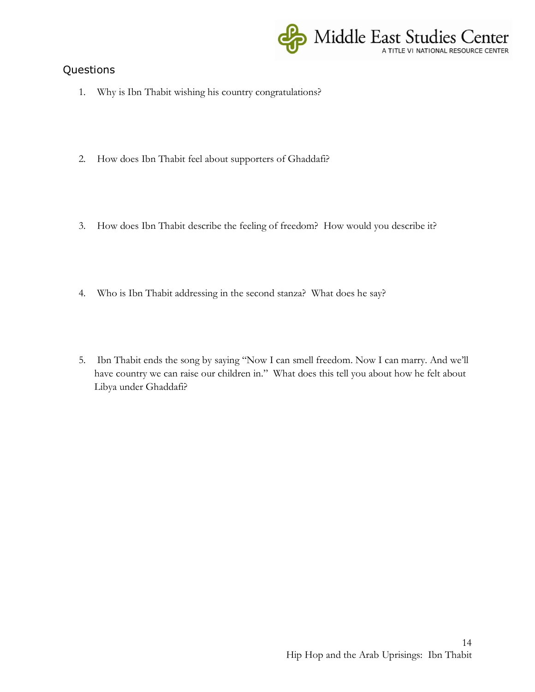

- 1. Why is Ibn Thabit wishing his country congratulations?
- 2. How does Ibn Thabit feel about supporters of Ghaddafi?
- 3. How does Ibn Thabit describe the feeling of freedom? How would you describe it?
- 4. Who is Ibn Thabit addressing in the second stanza? What does he say?
- 5. Ibn Thabit ends the song by saying "Now I can smell freedom. Now I can marry. And we'll have country we can raise our children in." What does this tell you about how he felt about Libya under Ghaddafi?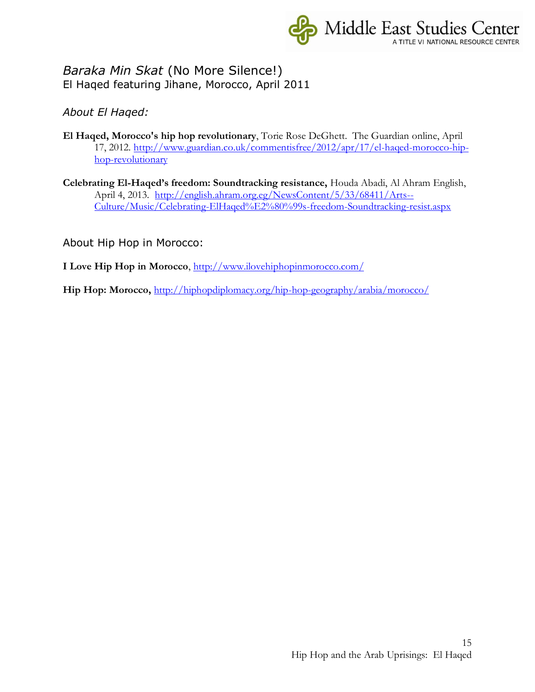

### *Baraka Min Skat* (No More Silence!) El Haqed featuring Jihane, Morocco, April 2011

*About El Haqed:*

- **El Haqed, Morocco's hip hop revolutionary**, Torie Rose DeGhett. The Guardian online, April 17, 2012. [http://www.guardian.co.uk/commentisfree/2012/apr/17/el-haqed-morocco-hip](http://www.guardian.co.uk/commentisfree/2012/apr/17/el-haqed-morocco-hip-hop-revolutionary)[hop-revolutionary](http://www.guardian.co.uk/commentisfree/2012/apr/17/el-haqed-morocco-hip-hop-revolutionary)
- **Celebrating El-Haqed's freedom: Soundtracking resistance,** Houda Abadi, Al Ahram English, April 4, 2013. [http://english.ahram.org.eg/NewsContent/5/33/68411/Arts--](http://english.ahram.org.eg/NewsContent/5/33/68411/Arts--Culture/Music/Celebrating-ElHaqed%E2%80%99s-freedom-Soundtracking-resist.aspx) [Culture/Music/Celebrating-ElHaqed%E2%80%99s-freedom-Soundtracking-resist.aspx](http://english.ahram.org.eg/NewsContent/5/33/68411/Arts--Culture/Music/Celebrating-ElHaqed%E2%80%99s-freedom-Soundtracking-resist.aspx)

About Hip Hop in Morocco:

**I Love Hip Hop in Morocco**,<http://www.ilovehiphopinmorocco.com/>

**Hip Hop: Morocco,** <http://hiphopdiplomacy.org/hip-hop-geography/arabia/morocco/>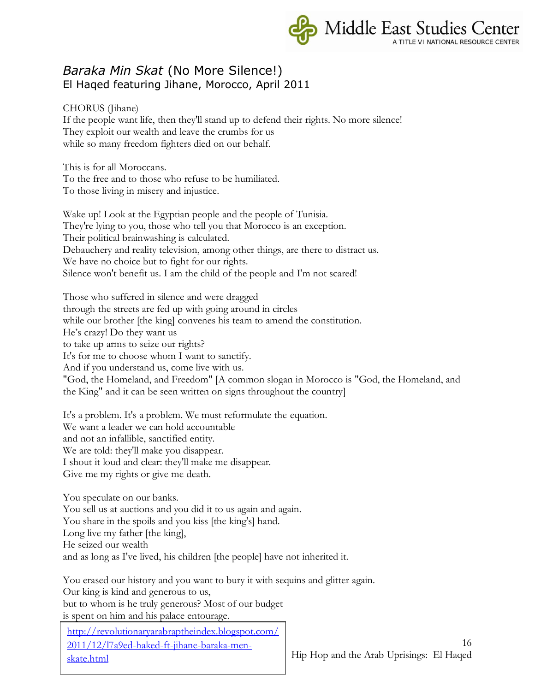

### *Baraka Min Skat* (No More Silence!) El Haqed featuring Jihane, Morocco, April 2011

CHORUS (Jihane) If the people want life, then they'll stand up to defend their rights. No more silence! They exploit our wealth and leave the crumbs for us while so many freedom fighters died on our behalf.

This is for all Moroccans. To the free and to those who refuse to be humiliated. To those living in misery and injustice.

Wake up! Look at the Egyptian people and the people of Tunisia. They're lying to you, those who tell you that Morocco is an exception. Their political brainwashing is calculated. Debauchery and reality television, among other things, are there to distract us. We have no choice but to fight for our rights. Silence won't benefit us. I am the child of the people and I'm not scared!

Those who suffered in silence and were dragged through the streets are fed up with going around in circles while our brother [the king] convenes his team to amend the constitution. He's crazy! Do they want us to take up arms to seize our rights? It's for me to choose whom I want to sanctify. And if you understand us, come live with us. "God, the Homeland, and Freedom" [A common slogan in Morocco is "God, the Homeland, and the King" and it can be seen written on signs throughout the country]

It's a problem. It's a problem. We must reformulate the equation. We want a leader we can hold accountable and not an infallible, sanctified entity. We are told: they'll make you disappear. I shout it loud and clear: they'll make me disappear. Give me my rights or give me death.

You speculate on our banks. You sell us at auctions and you did it to us again and again. You share in the spoils and you kiss [the king's] hand. Long live my father [the king], He seized our wealth and as long as I've lived, his children [the people] have not inherited it.

You erased our history and you want to bury it with sequins and glitter again. Our king is kind and generous to us, but to whom is he truly generous? Most of our budget is spent on him and his palace entourage.

[http://revolutionaryarabraptheindex.blogspot.com/](http://revolutionaryarabraptheindex.blogspot.com/2011/12/l7a9ed-haked-ft-jihane-baraka-men-skate.html) [2011/12/l7a9ed-haked-ft-jihane-baraka-men](http://revolutionaryarabraptheindex.blogspot.com/2011/12/l7a9ed-haked-ft-jihane-baraka-men-skate.html)[skate.html](http://revolutionaryarabraptheindex.blogspot.com/2011/12/l7a9ed-haked-ft-jihane-baraka-men-skate.html)

16 Hip Hop and the Arab Uprisings: El Haqed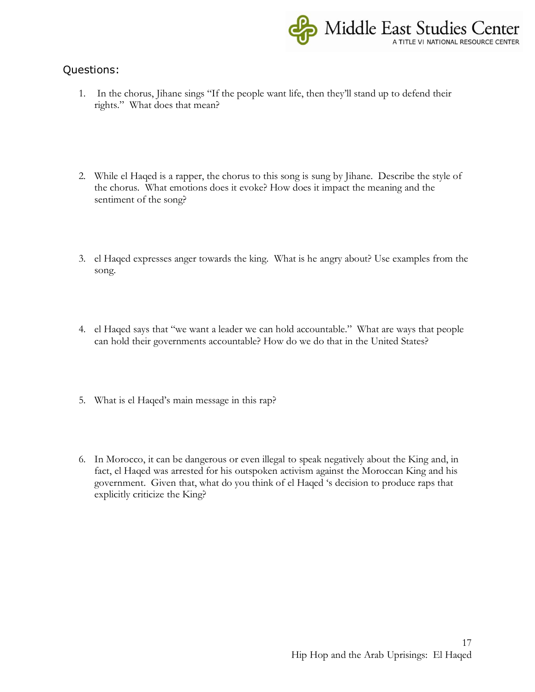

- 1. In the chorus, Jihane sings "If the people want life, then they'll stand up to defend their rights." What does that mean?
- 2. While el Haqed is a rapper, the chorus to this song is sung by Jihane. Describe the style of the chorus. What emotions does it evoke? How does it impact the meaning and the sentiment of the song?
- 3. el Haqed expresses anger towards the king. What is he angry about? Use examples from the song.
- 4. el Haqed says that "we want a leader we can hold accountable." What are ways that people can hold their governments accountable? How do we do that in the United States?
- 5. What is el Haqed's main message in this rap?
- 6. In Morocco, it can be dangerous or even illegal to speak negatively about the King and, in fact, el Haqed was arrested for his outspoken activism against the Moroccan King and his government. Given that, what do you think of el Haqed 's decision to produce raps that explicitly criticize the King?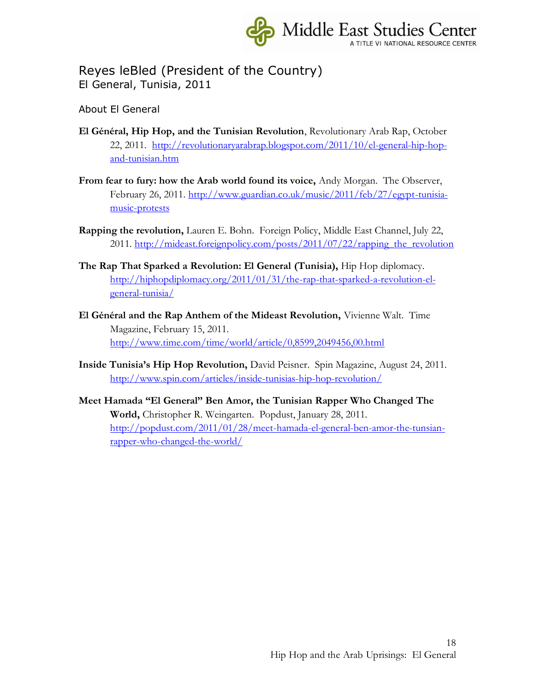

# Reyes leBled (President of the Country) El General, Tunisia, 2011

About El General

- **El Général, Hip Hop, and the Tunisian Revolution**, Revolutionary Arab Rap, October 22, 2011. [http://revolutionaryarabrap.blogspot.com/2011/10/el-general-hip-hop](http://revolutionaryarabrap.blogspot.com/2011/10/el-general-hip-hop-and-tunisian.htm)[and-tunisian.htm](http://revolutionaryarabrap.blogspot.com/2011/10/el-general-hip-hop-and-tunisian.htm)
- **From fear to fury: how the Arab world found its voice,** Andy Morgan. The Observer, February 26, 2011. [http://www.guardian.co.uk/music/2011/feb/27/egypt-tunisia](http://www.guardian.co.uk/music/2011/feb/27/egypt-tunisia-music-protests)[music-protests](http://www.guardian.co.uk/music/2011/feb/27/egypt-tunisia-music-protests)
- **Rapping the revolution,** Lauren E. Bohn. Foreign Policy, Middle East Channel, July 22, 2011. [http://mideast.foreignpolicy.com/posts/2011/07/22/rapping\\_the\\_revolution](http://mideast.foreignpolicy.com/posts/2011/07/22/rapping_the_revolution)
- **The Rap That Sparked a Revolution: El General (Tunisia),** Hip Hop diplomacy. [http://hiphopdiplomacy.org/2011/01/31/the-rap-that-sparked-a-revolution-el](http://hiphopdiplomacy.org/2011/01/31/the-rap-that-sparked-a-revolution-el-general-tunisia/)[general-tunisia/](http://hiphopdiplomacy.org/2011/01/31/the-rap-that-sparked-a-revolution-el-general-tunisia/)
- **El Général and the Rap Anthem of the Mideast Revolution,** Vivienne Walt. Time Magazine, February 15, 2011. <http://www.time.com/time/world/article/0,8599,2049456,00.html>
- **Inside Tunisia's Hip Hop Revolution,** David Peisner. Spin Magazine, August 24, 2011. <http://www.spin.com/articles/inside-tunisias-hip-hop-revolution/>
- **Meet Hamada "El General" Ben Amor, the Tunisian Rapper Who Changed The World,** Christopher R. Weingarten. Popdust, January 28, 2011. [http://popdust.com/2011/01/28/meet-hamada-el-general-ben-amor-the-tunsian](http://popdust.com/2011/01/28/meet-hamada-el-general-ben-amor-the-tunsian-rapper-who-changed-the-world/)[rapper-who-changed-the-world/](http://popdust.com/2011/01/28/meet-hamada-el-general-ben-amor-the-tunsian-rapper-who-changed-the-world/)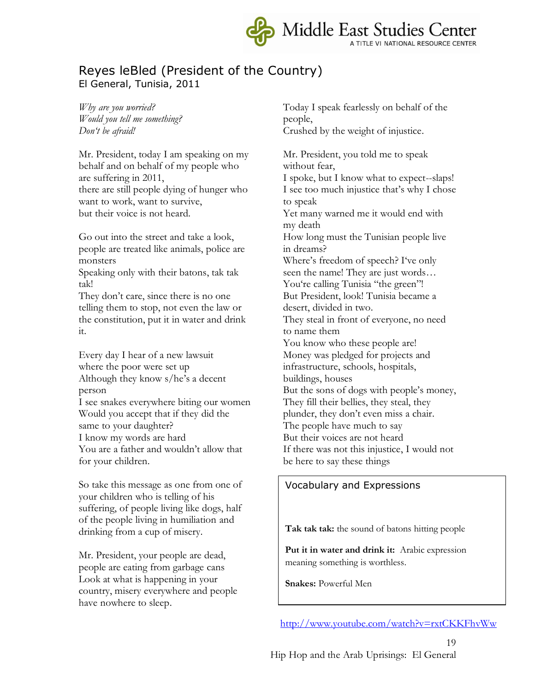

### Reyes leBled (President of the Country) El General, Tunisia, 2011

*Why are you worried? Would you tell me something? Don't be afraid!*

Mr. President, today I am speaking on my behalf and on behalf of my people who are suffering in 2011, there are still people dying of hunger who want to work, want to survive, but their voice is not heard.

Go out into the street and take a look, people are treated like animals, police are monsters

Speaking only with their batons, tak tak tak!

They don't care, since there is no one telling them to stop, not even the law or the constitution, put it in water and drink it.

Every day I hear of a new lawsuit where the poor were set up Although they know s/he's a decent person I see snakes everywhere biting our women

Would you accept that if they did the same to your daughter? I know my words are hard You are a father and wouldn't allow that for your children.

So take this message as one from one of your children who is telling of his suffering, of people living like dogs, half of the people living in humiliation and drinking from a cup of misery.

Mr. President, your people are dead, people are eating from garbage cans Look at what is happening in your country, misery everywhere and people have nowhere to sleep.

Today I speak fearlessly on behalf of the people, Crushed by the weight of injustice.

Mr. President, you told me to speak without fear, I spoke, but I know what to expect--slaps! I see too much injustice that's why I chose to speak Yet many warned me it would end with my death How long must the Tunisian people live in dreams? Where's freedom of speech? I've only seen the name! They are just words… You're calling Tunisia "the green"! But President, look! Tunisia became a desert, divided in two. They steal in front of everyone, no need to name them You know who these people are! Money was pledged for projects and infrastructure, schools, hospitals, buildings, houses But the sons of dogs with people's money, They fill their bellies, they steal, they plunder, they don't even miss a chair. The people have much to say But their voices are not heard If there was not this injustice, I would not be here to say these things

#### Vocabulary and Expressions

**Tak tak tak:** the sound of batons hitting people

**Put it in water and drink it:** Arabic expression meaning something is worthless.

**Snakes:** Powerful Men

<http://www.youtube.com/watch?v=rxtCKKFhvWw>